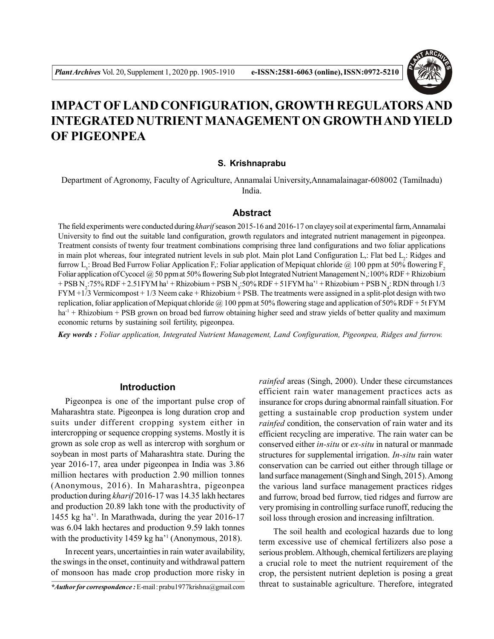

# **IMPACT OF LAND CONFIGURATION, GROWTH REGULATORS AND INTEGRATED NUTRIENT MANAGEMENT ON GROWTH AND YIELD OF PIGEONPEA**

## **S. Krishnaprabu**

Department of Agronomy, Faculty of Agriculture, Annamalai University,Annamalainagar-608002 (Tamilnadu) India.

## **Abstract**

The field experiments were conducted during *kharif* season 2015-16 and 2016-17 on clayey soil at experimental farm, Annamalai University to find out the suitable land configuration, growth regulators and integrated nutrient management in pigeonpea. Treatment consists of twenty four treatment combinations comprising three land configurations and two foliar applications in main plot whereas, four integrated nutrient levels in sub plot. Main plot Land Configuration L,: Flat bed  $L_2$ : Ridges and furrow L<sub>3</sub>: Broad Bed Furrow Foliar Application F,: Foliar application of Mepiquat chloride @ 100 ppm at 50% flowering F<sub>2</sub> Foliar application of Cycocel  $\omega$  50 ppm at 50% flowering Sub plot Integrated Nutrient Management N,:100% RDF + Rhizobium + PSB N<sub>2</sub>:75% RDF + 2.51 FYM ha<sup>1</sup> + Rhizobium + PSB N<sub>3</sub>:50% RDF + 51 FYM ha<sup>21</sup> + Rhizobium + PSB N<sub>4</sub>: RDN through 1/3 FYM +1/3 Vermicompost + 1/3 Neem cake + Rhizobium + PSB. The treatments were assigned in a split-plot design with two replication, foliar application of Mepiquat chloride  $\omega$  100 ppm at 50% flowering stage and application of 50% RDF + 5t FYM ha<sup>-1</sup> + Rhizobium + PSB grown on broad bed furrow obtaining higher seed and straw yields of better quality and maximum economic returns by sustaining soil fertility, pigeonpea.

*Key words : Foliar application, Integrated Nutrient Management, Land Configuration, Pigeonpea, Ridges and furrow.*

# **Introduction**

Pigeonpea is one of the important pulse crop of Maharashtra state. Pigeonpea is long duration crop and suits under different cropping system either in intercropping or sequence cropping systems. Mostly it is grown as sole crop as well as intercrop with sorghum or soybean in most parts of Maharashtra state. During the year 2016-17, area under pigeonpea in India was 3.86 million hectares with production 2.90 million tonnes (Anonymous, 2016). In Maharashtra, pigeonpea production during *kharif* 2016-17 was 14.35 lakh hectares and production 20.89 lakh tone with the productivity of 1455 kg ha'<sup>1</sup> . In Marathwada, during the year 2016-17 was 6.04 lakh hectares and production 9.59 lakh tonnes with the productivity 1459 kg ha'<sup>1</sup> (Anonymous, 2018).

In recent years, uncertainties in rain water availability, the swings in the onset, continuity and withdrawal pattern of monsoon has made crop production more risky in *rainfed* areas (Singh, 2000). Under these circumstances efficient rain water management practices acts as insurance for crops during abnormal rainfall situation. For getting a sustainable crop production system under *rainfed* condition, the conservation of rain water and its efficient recycling are imperative. The rain water can be conserved either *in-situ* or *ex-situ* in natural or manmade structures for supplemental irrigation. *In-situ* rain water conservation can be carried out either through tillage or land surface management (Singh and Singh, 2015). Among the various land surface management practices ridges and furrow, broad bed furrow, tied ridges and furrow are very promising in controlling surface runoff, reducing the soil loss through erosion and increasing infiltration.

The soil health and ecological hazards due to long term excessive use of chemical fertilizers also pose a serious problem. Although, chemical fertilizers are playing a crucial role to meet the nutrient requirement of the crop, the persistent nutrient depletion is posing a great threat to sustainable agriculture. Therefore, integrated

*<sup>\*</sup>Author for correspondence :* E-mail : prabu1977krishna@gmail.com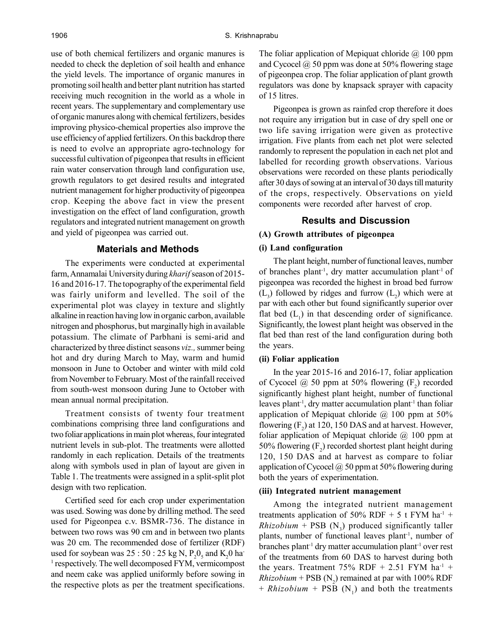use of both chemical fertilizers and organic manures is needed to check the depletion of soil health and enhance the yield levels. The importance of organic manures in promoting soil health and better plant nutrition has started receiving much recognition in the world as a whole in recent years. The supplementary and complementary use of organic manures along with chemical fertilizers, besides improving physico-chemical properties also improve the use efficiency of applied fertilizers. On this backdrop there is need to evolve an appropriate agro-technology for successful cultivation of pigeonpea that results in efficient rain water conservation through land configuration use, growth regulators to get desired results and integrated nutrient management for higher productivity of pigeonpea crop. Keeping the above fact in view the present investigation on the effect of land configuration, growth regulators and integrated nutrient management on growth and yield of pigeonpea was carried out.

#### **Materials and Methods**

The experiments were conducted at experimental farm, Annamalai University during *kharif* season of 2015- 16 and 2016-17. The topography of the experimental field was fairly uniform and levelled. The soil of the experimental plot was clayey in texture and slightly alkaline in reaction having low in organic carbon, available nitrogen and phosphorus, but marginally high in available potassium. The climate of Parbhani is semi-arid and characterized by three distinct seasons *viz.,* summer being hot and dry during March to May, warm and humid monsoon in June to October and winter with mild cold from November to February. Most of the rainfall received from south-west monsoon during June to October with mean annual normal precipitation.

Treatment consists of twenty four treatment combinations comprising three land configurations and two foliar applications in main plot whereas, four integrated nutrient levels in sub-plot. The treatments were allotted randomly in each replication. Details of the treatments along with symbols used in plan of layout are given in Table 1. The treatments were assigned in a split-split plot design with two replication.

Certified seed for each crop under experimentation was used. Sowing was done by drilling method. The seed used for Pigeonpea c.v. BSMR-736. The distance in between two rows was 90 cm and in between two plants was 20 cm. The recommended dose of fertilizer (RDF) used for soybean was  $25:50:25$  kg N,  $P_2O_5$  and  $K_2O$  har <sup>1</sup> respectively. The well decomposed FYM, vermicompost and neem cake was applied uniformly before sowing in the respective plots as per the treatment specifications.

The foliar application of Mepiquat chloride  $\omega$  100 ppm and Cycocel @ 50 ppm was done at 50% flowering stage of pigeonpea crop. The foliar application of plant growth regulators was done by knapsack sprayer with capacity of 15 litres.

Pigeonpea is grown as rainfed crop therefore it does not require any irrigation but in case of dry spell one or two life saving irrigation were given as protective irrigation. Five plants from each net plot were selected randomly to represent the population in each net plot and labelled for recording growth observations. Various observations were recorded on these plants periodically after 30 days of sowing at an interval of 30 days till maturity of the crops, respectively. Observations on yield components were recorded after harvest of crop.

## **Results and Discussion**

# **(A) Growth attributes of pigeonpea**

# **(i) Land configuration**

The plant height, number of functional leaves, number of branches plant<sup>-1</sup>, dry matter accumulation plant<sup>-1</sup> of pigeonpea was recorded the highest in broad bed furrow  $(L_3)$  followed by ridges and furrow  $(L_2)$  which were at par with each other but found significantly superior over flat bed  $(L<sub>1</sub>)$  in that descending order of significance. Significantly, the lowest plant height was observed in the flat bed than rest of the land configuration during both the years.

#### **(ii) Foliar application**

In the year 2015-16 and 2016-17, foliar application of Cycocel  $\omega$  50 ppm at 50% flowering  $(F_2)$  recorded significantly highest plant height, number of functional leaves plant<sup>-1</sup>, dry matter accumulation plant<sup>-1</sup> than foliar application of Mepiquat chloride  $\omega$  100 ppm at 50% flowering  $(F_2)$  at 120, 150 DAS and at harvest. However, foliar application of Mepiquat chloride  $\omega$  100 ppm at 50% flowering  $(F_2)$  recorded shortest plant height during 120, 150 DAS and at harvest as compare to foliar application of Cycocel  $\omega$  50 ppm at 50% flowering during both the years of experimentation.

#### **(iii) Integrated nutrient management**

Among the integrated nutrient management treatments application of 50% RDF + 5 t FYM ha<sup>-1</sup> +  $Rhizobium + PSB (N<sub>3</sub>)$  produced significantly taller plants, number of functional leaves plant-1, number of branches plant-1 dry matter accumulation plant-1 over rest of the treatments from 60 DAS to harvest during both the years. Treatment 75% RDF + 2.51 FYM  $ha^{-1}$  +  $Rhizobium + PSB (N<sub>2</sub>)$  remained at par with 100% RDF  $+$  *Rhizobium*  $+$  PSB (N<sub>1</sub>) and both the treatments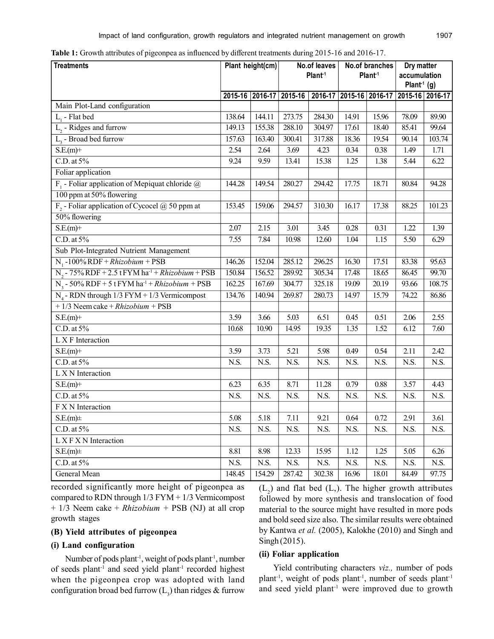| <b>Treatments</b>                                                  | Plant height(cm) |        | No.of leaves<br>Plant <sup>1</sup> |        | No.of branches<br>Plant <sup>1</sup> |       | Dry matter<br>accumulation<br>Plant <sup>1</sup> (g) |        |
|--------------------------------------------------------------------|------------------|--------|------------------------------------|--------|--------------------------------------|-------|------------------------------------------------------|--------|
|                                                                    |                  |        | 2015-16 2016-17 2015-16            |        | 2016-17 2015-16 2016-17              |       | 2015-16 2016-17                                      |        |
| Main Plot-Land configuration                                       |                  |        |                                    |        |                                      |       |                                                      |        |
| $L1$ - Flat bed                                                    | 138.64           | 144.11 | 273.75                             | 284.30 | 14.91                                | 15.96 | 78.09                                                | 89.90  |
| $L$ <sub>2</sub> - Ridges and furrow                               | 149.13           | 155.38 | 288.10                             | 304.97 | 17.61                                | 18.40 | 85.41                                                | 99.64  |
| $L3$ - Broad bed furrow                                            | 157.63           | 163.40 | 300.41                             | 317.88 | 18.36                                | 19.54 | 90.14                                                | 103.74 |
| $S.E(m)+$                                                          | 2.54             | 2.64   | 3.69                               | 4.23   | 0.34                                 | 0.38  | 1.49                                                 | 1.71   |
| $C.D.$ at $5\%$                                                    | 9.24             | 9.59   | 13.41                              | 15.38  | 1.25                                 | 1.38  | 5.44                                                 | 6.22   |
| Foliar application                                                 |                  |        |                                    |        |                                      |       |                                                      |        |
| $F_1$ - Foliar application of Mepiquat chloride $\omega$           | 144.28           | 149.54 | 280.27                             | 294.42 | 17.75                                | 18.71 | 80.84                                                | 94.28  |
| 100 ppm at 50% flowering                                           |                  |        |                                    |        |                                      |       |                                                      |        |
| $F_2$ - Foliar application of Cycocel @ 50 ppm at                  | 153.45           | 159.06 | 294.57                             | 310.30 | 16.17                                | 17.38 | 88.25                                                | 101.23 |
| 50% flowering                                                      |                  |        |                                    |        |                                      |       |                                                      |        |
| $S.E(m)+$                                                          | 2.07             | 2.15   | 3.01                               | 3.45   | 0.28                                 | 0.31  | 1.22                                                 | 1.39   |
| $C.D.$ at $5\%$                                                    | 7.55             | 7.84   | 10.98                              | 12.60  | 1.04                                 | 1.15  | 5.50                                                 | 6.29   |
| Sub Plot-Integrated Nutrient Management                            |                  |        |                                    |        |                                      |       |                                                      |        |
| $N_1 - 100\% RDF + Rhizobium + PSB$                                | 146.26           | 152.04 | 285.12                             | 296.25 | 16.30                                | 17.51 | 83.38                                                | 95.63  |
| $N_2$ - 75% RDF + 2.5 tFYM ha <sup>-1</sup> + Rhizobium + PSB      | 150.84           | 156.52 | 289.92                             | 305.34 | 17.48                                | 18.65 | 86.45                                                | 99.70  |
| $N_3$ - 50% RDF + 5 tFYM ha <sup>-1</sup> + <i>Rhizobium</i> + PSB | 162.25           | 167.69 | 304.77                             | 325.18 | 19.09                                | 20.19 | 93.66                                                | 108.75 |
| $N_4$ - RDN through 1/3 FYM + 1/3 Vermicompost                     | 134.76           | 140.94 | 269.87                             | 280.73 | 14.97                                | 15.79 | 74.22                                                | 86.86  |
| $+1/3$ Neem cake $+ Rhizobium + PSB$                               |                  |        |                                    |        |                                      |       |                                                      |        |
| $S.E.(m)$ +                                                        | 3.59             | 3.66   | 5.03                               | 6.51   | 0.45                                 | 0.51  | 2.06                                                 | 2.55   |
| $C.D.$ at $5\%$                                                    | 10.68            | 10.90  | 14.95                              | 19.35  | 1.35                                 | 1.52  | 6.12                                                 | 7.60   |
| L X F Interaction                                                  |                  |        |                                    |        |                                      |       |                                                      |        |
| $S.E.(m)$ +                                                        | 3.59             | 3.73   | 5.21                               | 5.98   | 0.49                                 | 0.54  | 2.11                                                 | 2.42   |
| $C.D.$ at $5%$                                                     | N.S.             | N.S.   | N.S.                               | N.S.   | N.S.                                 | N.S.  | N.S.                                                 | N.S.   |
| L X N Interaction                                                  |                  |        |                                    |        |                                      |       |                                                      |        |
| $S.E.(m)$ +                                                        | 6.23             | 6.35   | 8.71                               | 11.28  | 0.79                                 | 0.88  | 3.57                                                 | 4.43   |
| $C.D.$ at $5%$                                                     | N.S.             | N.S.   | N.S.                               | N.S.   | N.S.                                 | N.S.  | N.S.                                                 | N.S.   |
| F X N Interaction                                                  |                  |        |                                    |        |                                      |       |                                                      |        |
| $S.E(m) \pm$                                                       | 5.08             | 5.18   | 7.11                               | 9.21   | 0.64                                 | 0.72  | 2.91                                                 | 3.61   |
| $C.D.$ at $5\%$                                                    | N.S.             | N.S.   | N.S.                               | N.S.   | N.S.                                 | N.S.  | N.S.                                                 | N.S.   |
| L X F X N Interaction                                              |                  |        |                                    |        |                                      |       |                                                      |        |
| $S.E.(m) \pm$                                                      | 8.81             | 8.98   | 12.33                              | 15.95  | 1.12                                 | 1.25  | 5.05                                                 | 6.26   |
| $C.D.$ at $5%$                                                     | N.S.             | N.S.   | N.S.                               | N.S.   | N.S.                                 | N.S.  | N.S.                                                 | N.S.   |
| General Mean                                                       | 148.45           | 154.29 | 287.42                             | 302.38 | 16.96                                | 18.01 | 84.49                                                | 97.75  |

**Table 1:** Growth attributes of pigeonpea as influenced by different treatments during 2015-16 and 2016-17.

recorded significantly more height of pigeonpea as compared to RDN through 1/3 FYM + 1/3 Vermicompost + 1/3 Neem cake + *Rhizobium +* PSB (NJ) at all crop growth stages

# **(B) Yield attributes of pigeonpea**

# **(i) Land configuration**

Number of pods plant<sup>-1</sup>, weight of pods plant<sup>-1</sup>, number of seeds plant-1 and seed yield plant-1 recorded highest when the pigeonpea crop was adopted with land configuration broad bed furrow ( $\text{L}_{\text{3}}$ ) than ridges  $\boldsymbol{\&}$  furrow

 $(L_2)$  and flat bed (L,). The higher growth attributes followed by more synthesis and translocation of food material to the source might have resulted in more pods and bold seed size also. The similar results were obtained by Kantwa *et al.* (2005), Kalokhe (2010) and Singh and Singh (2015).

# **(ii) Foliar application**

Yield contributing characters *viz.,* number of pods plant-1, weight of pods plant-1, number of seeds plant-1 and seed yield plant<sup>-1</sup> were improved due to growth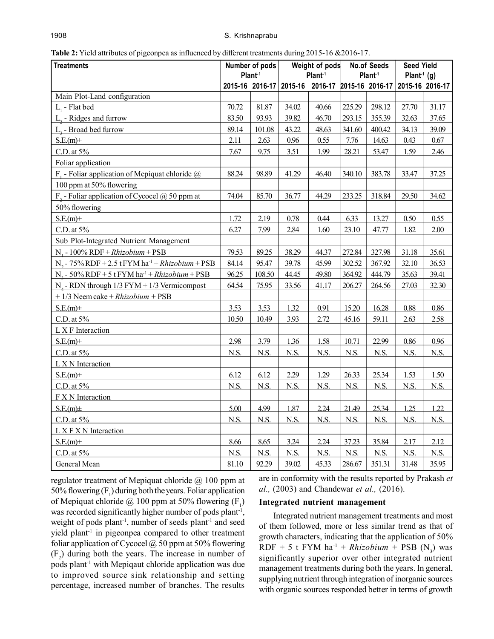| <b>Treatments</b>                                                    | Number of pods<br>Plant <sup>1</sup> |        | Weight of pods          |                                                               | <b>No.of Seeds</b><br>Plant <sup>1</sup> |        | <b>Seed Yield</b><br>Plant <sup>1</sup> (g) |       |
|----------------------------------------------------------------------|--------------------------------------|--------|-------------------------|---------------------------------------------------------------|------------------------------------------|--------|---------------------------------------------|-------|
|                                                                      |                                      |        | 2015-16 2016-17 2015-16 | Plant <sup>1</sup><br>2016-17 2015-16 2016-17 2015-16 2016-17 |                                          |        |                                             |       |
| Main Plot-Land configuration                                         |                                      |        |                         |                                                               |                                          |        |                                             |       |
| $L1$ - Flat bed                                                      | 70.72                                | 81.87  | 34.02                   | 40.66                                                         | 225.29                                   | 298.12 | 27.70                                       | 31.17 |
| L <sub>2</sub> - Ridges and furrow                                   | 83.50                                | 93.93  | 39.82                   | 46.70                                                         | 293.15                                   | 355.39 | 32.63                                       | 37.65 |
| $L3$ - Broad bed furrow                                              | 89.14                                | 101.08 | 43.22                   | 48.63                                                         | 341.60                                   | 400.42 | 34.13                                       | 39.09 |
| $S.E.(m)$ +                                                          | 2.11                                 | 2.63   | 0.96                    | 0.55                                                          | 7.76                                     | 14.63  | 0.43                                        | 0.67  |
| $C.D.$ at $5\%$                                                      | 7.67                                 | 9.75   | 3.51                    | 1.99                                                          | 28.21                                    | 53.47  | 1.59                                        | 2.46  |
| Foliar application                                                   |                                      |        |                         |                                                               |                                          |        |                                             |       |
| $F_1$ - Foliar application of Mepiquat chloride $\omega$             | 88.24                                | 98.89  | 41.29                   | 46.40                                                         | 340.10                                   | 383.78 | 33.47                                       | 37.25 |
| 100 ppm at 50% flowering                                             |                                      |        |                         |                                                               |                                          |        |                                             |       |
| $F_2$ - Foliar application of Cycocel @ 50 ppm at                    | 74.04                                | 85.70  | 36.77                   | 44.29                                                         | 233.25                                   | 318.84 | 29.50                                       | 34.62 |
| 50% flowering                                                        |                                      |        |                         |                                                               |                                          |        |                                             |       |
| $S.E.(m)$ +                                                          | 1.72                                 | 2.19   | 0.78                    | 0.44                                                          | 6.33                                     | 13.27  | 0.50                                        | 0.55  |
| $C.D.$ at $5%$                                                       | 6.27                                 | 7.99   | 2.84                    | 1.60                                                          | 23.10                                    | 47.77  | 1.82                                        | 2.00  |
| Sub Plot-Integrated Nutrient Management                              |                                      |        |                         |                                                               |                                          |        |                                             |       |
| N <sub>1</sub> - 100% RDF + $Rhizobium$ + PSB                        | 79.53                                | 89.25  | 38.29                   | 44.37                                                         | 272.84                                   | 327.98 | 31.18                                       | 35.61 |
| $N_2$ - 75% RDF + 2.5 tFYM ha <sup>-1</sup> + <i>Rhizobium</i> + PSB | 84.14                                | 95.47  | 39.78                   | 45.99                                                         | 302.52                                   | 367.92 | 32.10                                       | 36.53 |
| $N_s$ - 50% RDF + 5 t FYM ha <sup>-1</sup> + Rhizobium + PSB         |                                      | 108.50 | 44.45                   | 49.80                                                         | 364.92                                   | 444.79 | 35.63                                       | 39.41 |
| $N_4$ - RDN through 1/3 FYM + 1/3 Vermicompost                       |                                      | 75.95  | 33.56                   | 41.17                                                         | 206.27                                   | 264.56 | 27.03                                       | 32.30 |
| $+1/3$ Neem cake $+ Rhizobium + PSB$                                 |                                      |        |                         |                                                               |                                          |        |                                             |       |
| $S.E(m) \pm$                                                         | 3.53                                 | 3.53   | 1.32                    | 0.91                                                          | 15.20                                    | 16.28  | 0.88                                        | 0.86  |
| $C.D.$ at $5\%$                                                      | 10.50                                | 10.49  | 3.93                    | 2.72                                                          | 45.16                                    | 59.11  | 2.63                                        | 2.58  |
| L X F Interaction                                                    |                                      |        |                         |                                                               |                                          |        |                                             |       |
| $S.E(m)+$                                                            | 2.98                                 | 3.79   | 1.36                    | 1.58                                                          | 10.71                                    | 22.99  | 0.86                                        | 0.96  |
| $C.D.$ at $5%$                                                       | N.S.                                 | N.S.   | N.S.                    | N.S.                                                          | N.S.                                     | N.S.   | N.S.                                        | N.S.  |
| L X N Interaction                                                    |                                      |        |                         |                                                               |                                          |        |                                             |       |
| $S.E(m)+$                                                            | 6.12                                 | 6.12   | 2.29                    | 1.29                                                          | 26.33                                    | 25.34  | 1.53                                        | 1.50  |
| $C.D.$ at $5\%$                                                      | N.S.                                 | N.S.   | N.S.                    | N.S.                                                          | N.S.                                     | N.S.   | N.S.                                        | N.S.  |
| F X N Interaction                                                    |                                      |        |                         |                                                               |                                          |        |                                             |       |
| $S.E(m) \pm$                                                         | 5.00                                 | 4.99   | 1.87                    | 2.24                                                          | 21.49                                    | 25.34  | 1.25                                        | 1.22  |
| $C.D.$ at $5\%$                                                      | N.S.                                 | N.S.   | N.S.                    | N.S.                                                          | N.S.                                     | N.S.   | N.S.                                        | N.S.  |
| L X F X N Interaction                                                |                                      |        |                         |                                                               |                                          |        |                                             |       |
| $S.E(m)+$                                                            | 8.66                                 | 8.65   | 3.24                    | 2.24                                                          | 37.23                                    | 35.84  | 2.17                                        | 2.12  |
| $C.D.$ at $5\%$                                                      | N.S.                                 | N.S.   | N.S.                    | N.S.                                                          | N.S.                                     | N.S.   | N.S.                                        | N.S.  |
| General Mean                                                         | 81.10                                | 92.29  | 39.02                   | 45.33                                                         | 286.67                                   | 351.31 | 31.48                                       | 35.95 |

**Table 2:** Yield attributes of pigeonpea as influenced by different treatments during 2015-16 &2016-17.

regulator treatment of Mepiquat chloride  $\omega$  100 ppm at 50% flowering  $(F_1)$  during both the years. Foliar application of Mepiquat chloride  $@100$  ppm at 50% flowering  $(F_1)$ was recorded significantly higher number of pods plant<sup>1</sup>, weight of pods plant<sup>-1</sup>, number of seeds plant<sup>-1</sup> and seed yield plant-1 in pigeonpea compared to other treatment foliar application of Cycocel  $\omega$  50 ppm at 50% flowering  $(F_2)$  during both the years. The increase in number of pods plant-1 with Mepiqaut chloride application was due to improved source sink relationship and setting percentage, increased number of branches. The results

are in conformity with the results reported by Prakash *et al.,* (2003) and Chandewar *et al.,* (2016).

#### **Integrated nutrient management**

Integrated nutrient management treatments and most of them followed, more or less similar trend as that of growth characters, indicating that the application of 50%  $RDF + 5$  t  $FYM$   $ha^{-1} + Rhizobium + PSB$   $(N_3)$  was significantly superior over other integrated nutrient management treatments during both the years. In general, supplying nutrient through integration of inorganic sources with organic sources responded better in terms of growth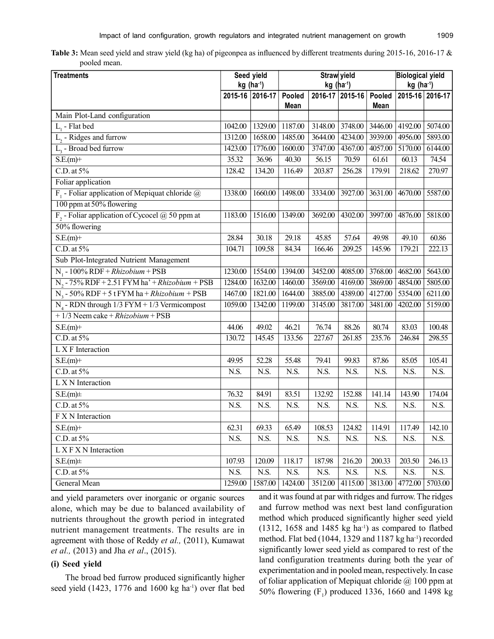| Table 3: Mean seed yield and straw yield (kg ha) of pigeonpea as influenced by different treatments during 2015-16, 2016-17 $\&$ |  |  |
|----------------------------------------------------------------------------------------------------------------------------------|--|--|
| pooled mean.                                                                                                                     |  |  |

| <b>Treatments</b>                                        | Seed yield<br>$kg(ha^{-1})$ |                 | Straw yield<br>$kg$ (ha <sup>1</sup> ) |         |                        |         | <b>Biological yield</b><br>kg (ha <sup>-1</sup> ) |                 |
|----------------------------------------------------------|-----------------------------|-----------------|----------------------------------------|---------|------------------------|---------|---------------------------------------------------|-----------------|
|                                                          |                             | 2015-16 2016-17 | Pooled<br>Mean                         |         | 2016-17 2015-16 Pooled | Mean    |                                                   | 2015-16 2016-17 |
| Main Plot-Land configuration                             |                             |                 |                                        |         |                        |         |                                                   |                 |
| $L1$ - Flat bed                                          | 1042.00                     | 1329.00         | 1187.00                                | 3148.00 | 3748.00                | 3446.00 | 4192.00                                           | 5074.00         |
| $L$ <sub>2</sub> - Ridges and furrow                     | 1312.00                     | 1658.00         | 1485.00                                | 3644.00 | 4234.00                | 3939.00 | 4956.00                                           | 5893.00         |
| $\overline{L_{3}}$ - Broad bed furrow                    | 1423.00                     | 1776.00         | 1600.00                                | 3747.00 | 4367.00                | 4057.00 | 5170.00                                           | 6144.00         |
| $S.E.(m)$ +                                              | 35.32                       | 36.96           | 40.30                                  | 56.15   | 70.59                  | 61.61   | 60.13                                             | 74.54           |
| $C.D.$ at $5\%$                                          | 128.42                      | 134.20          | 116.49                                 | 203.87  | 256.28                 | 179.91  | 218.62                                            | 270.97          |
| Foliar application                                       |                             |                 |                                        |         |                        |         |                                                   |                 |
| $F_1$ - Foliar application of Mepiquat chloride $\omega$ | 1338.00                     | 1660.00         | 1498.00                                | 3334.00 | 3927.00                | 3631.00 | 4670.00                                           | 5587.00         |
| 100 ppm at 50% flowering                                 |                             |                 |                                        |         |                        |         |                                                   |                 |
| $F_2$ - Foliar application of Cycocel @ 50 ppm at        | 1183.00                     | 1516.00         | 1349.00                                | 3692.00 | 4302.00                | 3997.00 | 4876.00                                           | 5818.00         |
| 50% flowering                                            |                             |                 |                                        |         |                        |         |                                                   |                 |
| $S.E(m)+$                                                | 28.84                       | 30.18           | 29.18                                  | 45.85   | 57.64                  | 49.98   | 49.10                                             | 60.86           |
| $C.D.$ at $5\%$                                          | 104.71                      | 109.58          | 84.34                                  | 166.46  | $\overline{209.25}$    | 145.96  | 179.21                                            | 222.13          |
| Sub Plot-Integrated Nutrient Management                  |                             |                 |                                        |         |                        |         |                                                   |                 |
| $N_1 - 100\% RDF + Rhizobium + PSB$                      | 1230.00                     | 1554.00         | 1394.00                                | 3452.00 | 4085.00                | 3768.00 | 4682.00                                           | 5643.00         |
| $N_2$ - 75% RDF + 2.51 FYM ha' + Rhizobium + PSB         | 1284.00                     | 1632.00         | 1460.00                                | 3569.00 | 4169.00                | 3869.00 | 4854.00                                           | 5805.00         |
| $N_3$ - 50% RDF + 5 t FYM ha + <i>Rhizobium</i> + PSB    | 1467.00                     | 1821.00         | 1644.00                                | 3885.00 | 4389.00                | 4127.00 | 5354.00                                           | 6211.00         |
| $N_A$ - RDN through 1/3 FYM + 1/3 Vermicompost           | 1059.00                     | 1342.00         | 1199.00                                | 3145.00 | 3817.00                | 3481.00 | 4202.00                                           | 5159.00         |
| $+1/3$ Neem cake $+ Rhizobium + PSB$                     |                             |                 |                                        |         |                        |         |                                                   |                 |
| $S.E.(m)$ +                                              | 44.06                       | 49.02           | 46.21                                  | 76.74   | 88.26                  | 80.74   | 83.03                                             | 100.48          |
| $C.D.$ at $5\%$                                          | 130.72                      | 145.45          | 133.56                                 | 227.67  | 261.85                 | 235.76  | 246.84                                            | 298.55          |
| L X F Interaction                                        |                             |                 |                                        |         |                        |         |                                                   |                 |
| $S.E.(m)$ +                                              | 49.95                       | 52.28           | 55.48                                  | 79.41   | 99.83                  | 87.86   | 85.05                                             | 105.41          |
| $C.D.$ at $5%$                                           | N.S.                        | N.S.            | N.S.                                   | N.S.    | N.S.                   | N.S.    | N.S.                                              | N.S.            |
| L X N Interaction                                        |                             |                 |                                        |         |                        |         |                                                   |                 |
| $S.E.(m) \pm$                                            | 76.32                       | 84.91           | 83.51                                  | 132.92  | 152.88                 | 141.14  | 143.90                                            | 174.04          |
| $C.D.$ at $5\%$                                          | N.S.                        | N.S.            | N.S.                                   | N.S.    | N.S.                   | N.S.    | N.S.                                              | N.S.            |
| F X N Interaction                                        |                             |                 |                                        |         |                        |         |                                                   |                 |
| $S.E.(m)$ +                                              | 62.31                       | 69.33           | 65.49                                  | 108.53  | 124.82                 | 114.91  | 117.49                                            | 142.10          |
| $C.D.$ at $5\%$                                          | N.S.                        | N.S.            | N.S.                                   | N.S.    | N.S.                   | N.S.    | N.S.                                              | N.S.            |
| L X F X N Interaction                                    |                             |                 |                                        |         |                        |         |                                                   |                 |
| S.E(m)                                                   | 107.93                      | 120.09          | 118.17                                 | 187.98  | 216.20                 | 200.33  | 203.50                                            | 246.13          |
| $C.D.$ at $5\%$                                          | N.S.                        | N.S.            | N.S.                                   | N.S.    | N.S.                   | N.S.    | N.S.                                              | N.S.            |
| General Mean                                             | 1259.00                     | 1587.00         | 1424.00                                | 3512.00 | 4115.00                | 3813.00 | 4772.00                                           | 5703.00         |

and yield parameters over inorganic or organic sources alone, which may be due to balanced availability of nutrients throughout the growth period in integrated nutrient management treatments. The results are in agreement with those of Reddy *et al.,* (2011), Kumawat *et al.,* (2013) and Jha *et al*., (2015).

# **(i) Seed yield**

The broad bed furrow produced significantly higher seed yield  $(1423, 1776,$  and  $1600 \text{ kg}$  ha<sup>-1</sup>) over flat bed and it was found at par with ridges and furrow. The ridges and furrow method was next best land configuration method which produced significantly higher seed yield  $(1312, 1658$  and  $1485$  kg ha<sup>-1</sup>) as compared to flatbed method. Flat bed (1044, 1329 and 1187 kg ha<sup>-1</sup>) recorded significantly lower seed yield as compared to rest of the land configuration treatments during both the year of experimentation and in pooled mean, respectively.In case of foliar application of Mepiquat chloride  $\omega$  100 ppm at 50% flowering  $(F_1)$  produced 1336, 1660 and 1498 kg